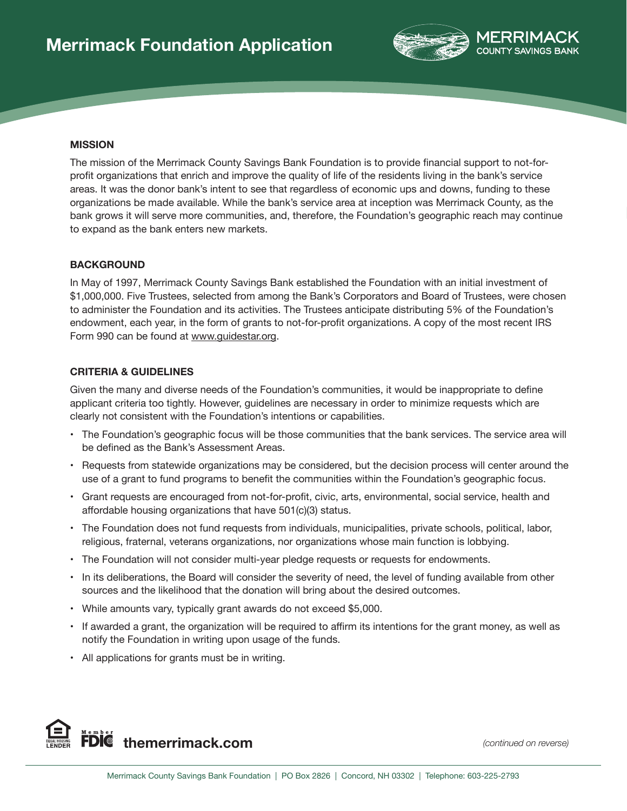

#### **MISSION**

The mission of the Merrimack County Savings Bank Foundation is to provide financial support to not-forprofit organizations that enrich and improve the quality of life of the residents living in the bank's service areas. It was the donor bank's intent to see that regardless of economic ups and downs, funding to these organizations be made available. While the bank's service area at inception was Merrimack County, as the bank grows it will serve more communities, and, therefore, the Foundation's geographic reach may continue to expand as the bank enters new markets.

#### **BACKGROUND**

In May of 1997, Merrimack County Savings Bank established the Foundation with an initial investment of \$1,000,000. Five Trustees, selected from among the Bank's Corporators and Board of Trustees, were chosen to administer the Foundation and its activities. The Trustees anticipate distributing 5% of the Foundation's endowment, each year, in the form of grants to not-for-profit organizations. A copy of the most recent IRS Form 990 can be found at www.guidestar.org.

## **CRITERIA & GUIDELINES**

Given the many and diverse needs of the Foundation's communities, it would be inappropriate to define applicant criteria too tightly. However, guidelines are necessary in order to minimize requests which are clearly not consistent with the Foundation's intentions or capabilities.

- The Foundation's geographic focus will be those communities that the bank services. The service area will be defined as the Bank's Assessment Areas.
- Requests from statewide organizations may be considered, but the decision process will center around the use of a grant to fund programs to benefit the communities within the Foundation's geographic focus.
- Grant requests are encouraged from not-for-profit, civic, arts, environmental, social service, health and affordable housing organizations that have 501(c)(3) status.
- The Foundation does not fund requests from individuals, municipalities, private schools, political, labor, religious, fraternal, veterans organizations, nor organizations whose main function is lobbying.
- The Foundation will not consider multi-year pledge requests or requests for endowments.
- In its deliberations, the Board will consider the severity of need, the level of funding available from other sources and the likelihood that the donation will bring about the desired outcomes.
- While amounts vary, typically grant awards do not exceed \$5,000.
- If awarded a grant, the organization will be required to affirm its intentions for the grant money, as well as notify the Foundation in writing upon usage of the funds.
- All applications for grants must be in writing.

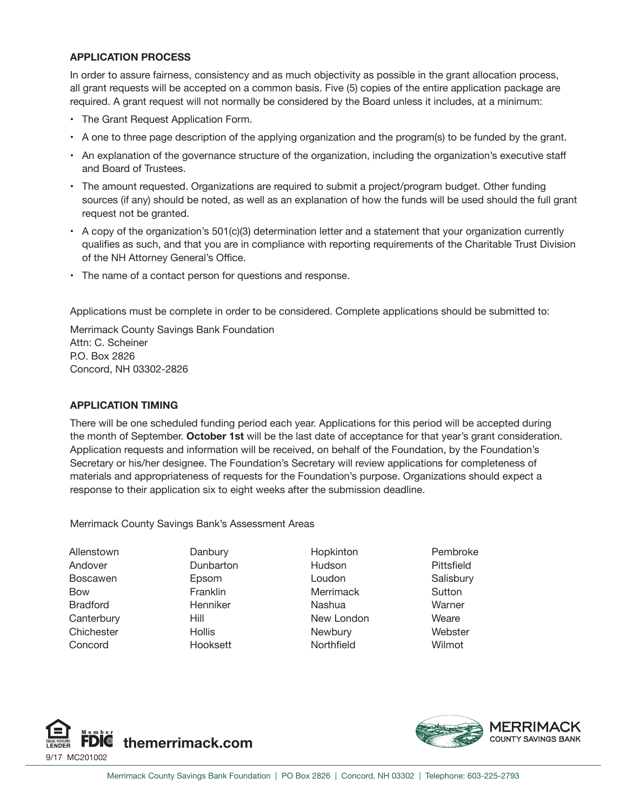## **APPLICATION PROCESS**

In order to assure fairness, consistency and as much objectivity as possible in the grant allocation process, all grant requests will be accepted on a common basis. Five (5) copies of the entire application package are required. A grant request will not normally be considered by the Board unless it includes, at a minimum:

- The Grant Request Application Form.
- A one to three page description of the applying organization and the program(s) to be funded by the grant.
- An explanation of the governance structure of the organization, including the organization's executive staff and Board of Trustees.
- The amount requested. Organizations are required to submit a project/program budget. Other funding sources (if any) should be noted, as well as an explanation of how the funds will be used should the full grant request not be granted.
- A copy of the organization's 501(c)(3) determination letter and a statement that your organization currently qualifies as such, and that you are in compliance with reporting requirements of the Charitable Trust Division of the NH Attorney General's Office.
- The name of a contact person for questions and response.

Applications must be complete in order to be considered. Complete applications should be submitted to:

Merrimack County Savings Bank Foundation Attn: C. Scheiner P.O. Box 2826 Concord, NH 03302-2826

## **APPLICATION TIMING**

There will be one scheduled funding period each year. Applications for this period will be accepted during the month of September. **October 1st** will be the last date of acceptance for that year's grant consideration. Application requests and information will be received, on behalf of the Foundation, by the Foundation's Secretary or his/her designee. The Foundation's Secretary will review applications for completeness of materials and appropriateness of requests for the Foundation's purpose. Organizations should expect a response to their application six to eight weeks after the submission deadline.

Merrimack County Savings Bank's Assessment Areas

Allenstown Andover Boscawen Bow Bradford **Canterbury Chichester** Concord

**Danbury Dunbarton** Epsom Franklin **Henniker** Hill **Hollis** Hooksett

Hopkinton Hudson Loudon Merrimack Nashua New London **Newbury** Northfield

Pembroke Pittsfield **Salisbury Sutton** Warner **Weare Webster** Wilmot